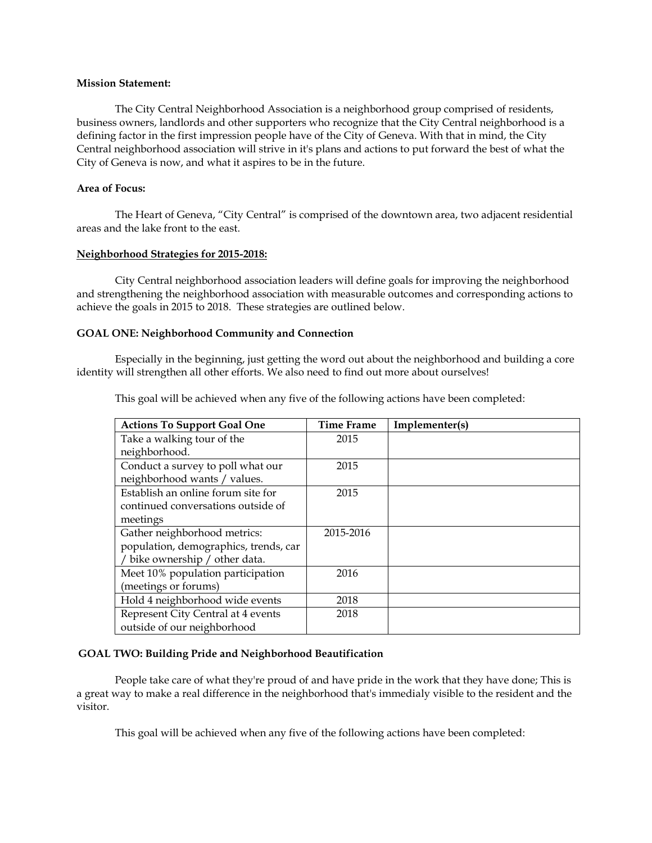#### **Mission Statement:**

The City Central Neighborhood Association is a neighborhood group comprised of residents, business owners, landlords and other supporters who recognize that the City Central neighborhood is a defining factor in the first impression people have of the City of Geneva. With that in mind, the City Central neighborhood association will strive in it's plans and actions to put forward the best of what the City of Geneva is now, and what it aspires to be in the future.

## **Area of Focus:**

The Heart of Geneva, "City Central" is comprised of the downtown area, two adjacent residential areas and the lake front to the east.

### **Neighborhood Strategies for 2015-2018:**

City Central neighborhood association leaders will define goals for improving the neighborhood and strengthening the neighborhood association with measurable outcomes and corresponding actions to achieve the goals in 2015 to 2018. These strategies are outlined below.

## **GOAL ONE: Neighborhood Community and Connection**

Especially in the beginning, just getting the word out about the neighborhood and building a core identity will strengthen all other efforts. We also need to find out more about ourselves!

| <b>Actions To Support Goal One</b>    | Time Frame | Implementer(s) |
|---------------------------------------|------------|----------------|
| Take a walking tour of the            | 2015       |                |
| neighborhood.                         |            |                |
| Conduct a survey to poll what our     | 2015       |                |
| neighborhood wants / values.          |            |                |
| Establish an online forum site for    | 2015       |                |
| continued conversations outside of    |            |                |
| meetings                              |            |                |
| Gather neighborhood metrics:          | 2015-2016  |                |
| population, demographics, trends, car |            |                |
| / bike ownership / other data.        |            |                |
| Meet 10% population participation     | 2016       |                |
| (meetings or forums)                  |            |                |
| Hold 4 neighborhood wide events       | 2018       |                |
| Represent City Central at 4 events    | 2018       |                |
| outside of our neighborhood           |            |                |

This goal will be achieved when any five of the following actions have been completed:

#### **GOAL TWO: Building Pride and Neighborhood Beautification**

People take care of what they're proud of and have pride in the work that they have done; This is a great way to make a real difference in the neighborhood that's immedialy visible to the resident and the visitor.

This goal will be achieved when any five of the following actions have been completed: